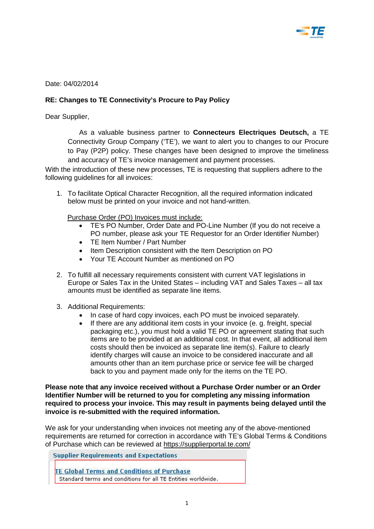

Date: 04/02/2014

## **RE: Changes to TE Connectivity's Procure to Pay Policy**

Dear Supplier,

As a valuable business partner to **Connecteurs Electriques Deutsch,** a TE Connectivity Group Company ('TE'), we want to alert you to changes to our Procure to Pay (P2P) policy. These changes have been designed to improve the timeliness and accuracy of TE's invoice management and payment processes.

With the introduction of these new processes, TE is requesting that suppliers adhere to the following guidelines for all invoices:

1. To facilitate Optical Character Recognition, all the required information indicated below must be printed on your invoice and not hand-written.

Purchase Order (PO) Invoices must include:

- TE's PO Number, Order Date and PO-Line Number (If you do not receive a PO number, please ask your TE Requestor for an Order Identifier Number)
- TE Item Number / Part Number
- Item Description consistent with the Item Description on PO
- Your TE Account Number as mentioned on PO
- 2. To fulfill all necessary requirements consistent with current VAT legislations in Europe or Sales Tax in the United States – including VAT and Sales Taxes – all tax amounts must be identified as separate line items.
- 3. Additional Requirements:
	- In case of hard copy invoices, each PO must be invoiced separately.
	- If there are any additional item costs in your invoice (e. g. freight, special packaging etc.), you must hold a valid TE PO or agreement stating that such items are to be provided at an additional cost. In that event, all additional item costs should then be invoiced as separate line item(s). Failure to clearly identify charges will cause an invoice to be considered inaccurate and all amounts other than an item purchase price or service fee will be charged back to you and payment made only for the items on the TE PO.

**Please note that any invoice received without a Purchase Order number or an Order Identifier Number will be returned to you for completing any missing information required to process your invoice. This may result in payments being delayed until the invoice is re-submitted with the required information.** 

We ask for your understanding when invoices not meeting any of the above-mentioned requirements are returned for correction in accordance with TE's Global Terms & Conditions of Purchase which can be reviewed at<https://supplierportal.te.com/>

**Supplier Requirements and Expectations** 

**TE Global Terms and Conditions of Purchase** Standard terms and conditions for all TE Entities worldwide.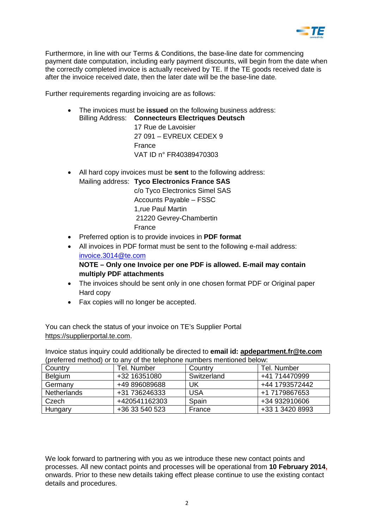

Furthermore, in line with our Terms & Conditions, the base-line date for commencing payment date computation, including early payment discounts, will begin from the date when the correctly completed invoice is actually received by TE. If the TE goods received date is after the invoice received date, then the later date will be the base-line date.

Further requirements regarding invoicing are as follows:

• The invoices must be **issued** on the following business address: Billing Address: **Connecteurs Electriques Deutsch**

> 17 Rue de Lavoisier 27 091 – EVREUX CEDEX 9 France VAT ID n° FR40389470303

- All hard copy invoices must be **sent** to the following address:
- Mailing address: **Tyco Electronics France SAS** c/o Tyco Electronics Simel SAS Accounts Payable – FSSC 1,rue Paul Martin 21220 Gevrey-Chambertin

France

- Preferred option is to provide invoices in **PDF format**
- All invoices in PDF format must be sent to the following e-mail address: [invoice.3014@te.com](mailto:invoice.3014@te.com)

**NOTE – Only one Invoice per one PDF is allowed. E-mail may contain multiply PDF attachments** 

- The invoices should be sent only in one chosen format PDF or Original paper Hard copy
- Fax copies will no longer be accepted.

You can check the status of your invoice on TE's Supplier Portal [https://supplierportal.te.com.](https://supplierportal.te.com/)

Invoice status inquiry could additionally be directed to **email id: [apdepartment.fr@te.com](mailto:apdepartment.fr@te.com)** (preferred method) or to any of the telephone numbers mentioned below:

| Country            | Tel. Number    | Country     | Tel. Number     |
|--------------------|----------------|-------------|-----------------|
| <b>Belgium</b>     | +32 16351080   | Switzerland | +41 714470999   |
| Germany            | +49 896089688  | UK          | +44 1793572442  |
| <b>Netherlands</b> | +31 736246333  | <b>USA</b>  | +1 7179867653   |
| Czech              | +420541162303  | Spain       | +34 932910606   |
| Hungary            | +36 33 540 523 | France      | +33 1 3420 8993 |

We look forward to partnering with you as we introduce these new contact points and processes. All new contact points and processes will be operational from **10 February 2014,** onwards. Prior to these new details taking effect please continue to use the existing contact details and procedures.